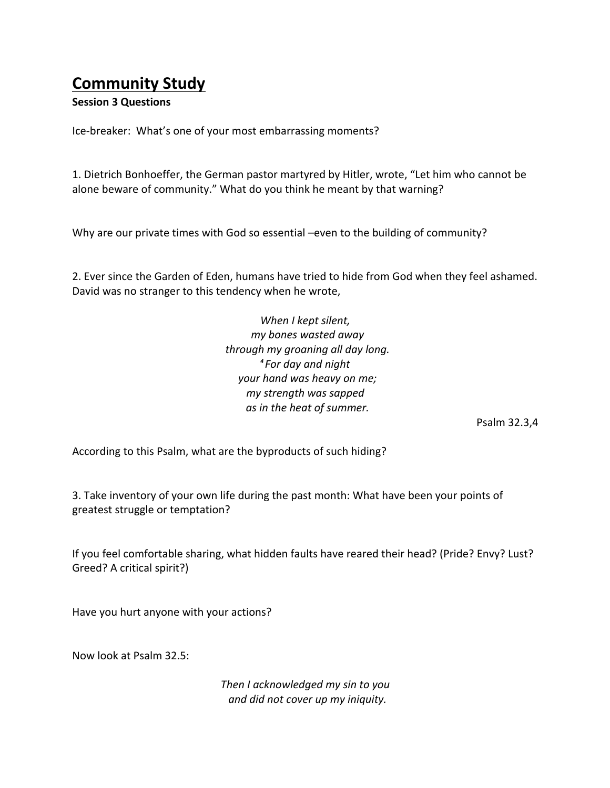## **Community Study**

## **Session 3 Questions**

Ice-breaker: What's one of your most embarrassing moments?

1. Dietrich Bonhoeffer, the German pastor martyred by Hitler, wrote, "Let him who cannot be alone beware of community." What do you think he meant by that warning?

Why are our private times with God so essential –even to the building of community?

2. Ever since the Garden of Eden, humans have tried to hide from God when they feel ashamed. David was no stranger to this tendency when he wrote,

> *When I kept silent, my bones wasted away through my groaning all day long. 4 For day and night your hand was heavy on me; my strength was sapped as in the heat of summer.*

> > Psalm 32.3,4

According to this Psalm, what are the byproducts of such hiding?

3. Take inventory of your own life during the past month: What have been your points of greatest struggle or temptation?

If you feel comfortable sharing, what hidden faults have reared their head? (Pride? Envy? Lust? Greed? A critical spirit?)

Have you hurt anyone with your actions?

Now look at Psalm 32.5:

*Then I acknowledged my sin to you and did not cover up my iniquity.*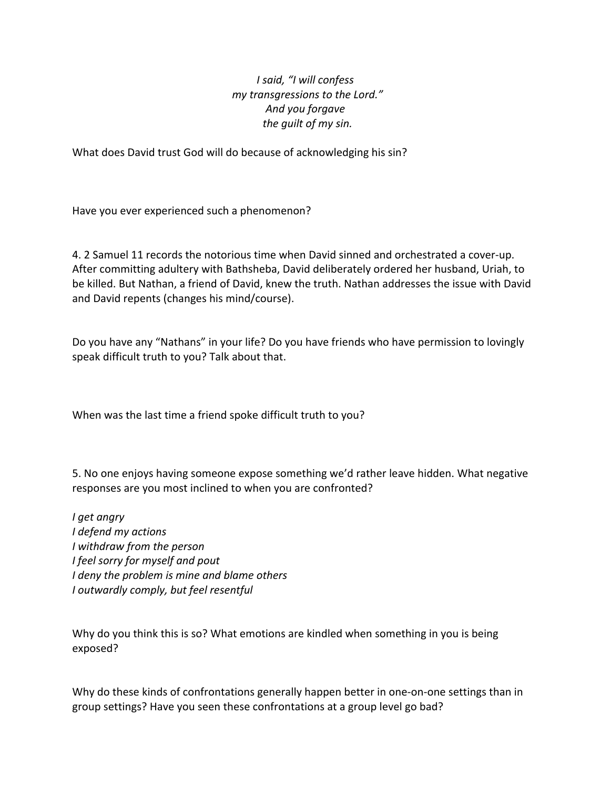## *I said, "I will confess my transgressions to the Lord." And you forgave the guilt of my sin.*

What does David trust God will do because of acknowledging his sin?

Have you ever experienced such a phenomenon?

4. 2 Samuel 11 records the notorious time when David sinned and orchestrated a cover-up. After committing adultery with Bathsheba, David deliberately ordered her husband, Uriah, to be killed. But Nathan, a friend of David, knew the truth. Nathan addresses the issue with David and David repents (changes his mind/course).

Do you have any "Nathans" in your life? Do you have friends who have permission to lovingly speak difficult truth to you? Talk about that.

When was the last time a friend spoke difficult truth to you?

5. No one enjoys having someone expose something we'd rather leave hidden. What negative responses are you most inclined to when you are confronted?

*I get angry I defend my actions I withdraw from the person I feel sorry for myself and pout I* deny the problem is mine and blame others *I outwardly comply, but feel resentful*

Why do you think this is so? What emotions are kindled when something in you is being exposed?

Why do these kinds of confrontations generally happen better in one-on-one settings than in group settings? Have you seen these confrontations at a group level go bad?